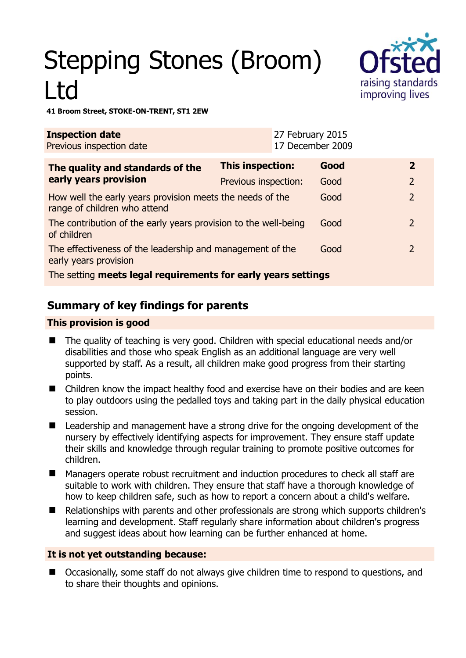# Stepping Stones (Broom) Ltd



#### **41 Broom Street, STOKE-ON-TRENT, ST1 2EW**

| <b>Inspection date</b><br>Previous inspection date                                        | 27 February 2015<br>17 December 2009 |      |                |
|-------------------------------------------------------------------------------------------|--------------------------------------|------|----------------|
| The quality and standards of the                                                          | This inspection:                     | Good | $\mathbf{2}$   |
| early years provision                                                                     | Previous inspection:                 | Good | $\overline{2}$ |
| How well the early years provision meets the needs of the<br>range of children who attend |                                      | Good | $\overline{2}$ |
| The contribution of the early years provision to the well-being<br>of children            |                                      | Good | $\mathcal{L}$  |
| The effectiveness of the leadership and management of the<br>early years provision        |                                      | Good | 2              |
| The setting meets legal requirements for early years settings                             |                                      |      |                |

## **Summary of key findings for parents**

#### **This provision is good**

- The quality of teaching is very good. Children with special educational needs and/or disabilities and those who speak English as an additional language are very well supported by staff. As a result, all children make good progress from their starting points.
- Children know the impact healthy food and exercise have on their bodies and are keen to play outdoors using the pedalled toys and taking part in the daily physical education session.
- Leadership and management have a strong drive for the ongoing development of the nursery by effectively identifying aspects for improvement. They ensure staff update their skills and knowledge through regular training to promote positive outcomes for children.
- Managers operate robust recruitment and induction procedures to check all staff are suitable to work with children. They ensure that staff have a thorough knowledge of how to keep children safe, such as how to report a concern about a child's welfare.
- Relationships with parents and other professionals are strong which supports children's learning and development. Staff regularly share information about children's progress and suggest ideas about how learning can be further enhanced at home.

#### **It is not yet outstanding because:**

 Occasionally, some staff do not always give children time to respond to questions, and to share their thoughts and opinions.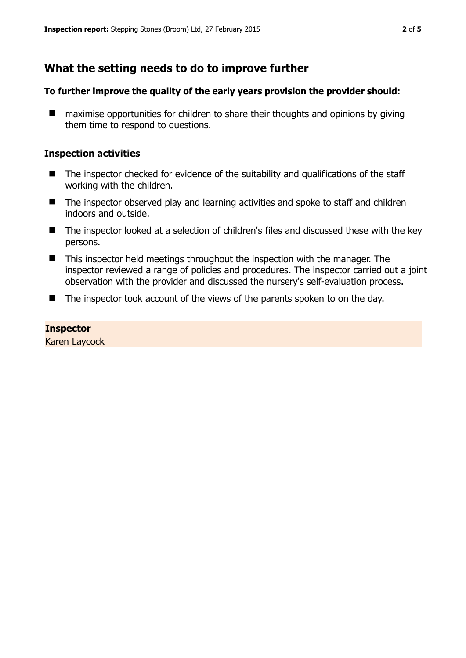## **What the setting needs to do to improve further**

#### **To further improve the quality of the early years provision the provider should:**

■ maximise opportunities for children to share their thoughts and opinions by giving them time to respond to questions.

#### **Inspection activities**

- The inspector checked for evidence of the suitability and qualifications of the staff working with the children.
- The inspector observed play and learning activities and spoke to staff and children indoors and outside.
- The inspector looked at a selection of children's files and discussed these with the key persons.
- This inspector held meetings throughout the inspection with the manager. The inspector reviewed a range of policies and procedures. The inspector carried out a joint observation with the provider and discussed the nursery's self-evaluation process.
- The inspector took account of the views of the parents spoken to on the day.

#### **Inspector**

Karen Laycock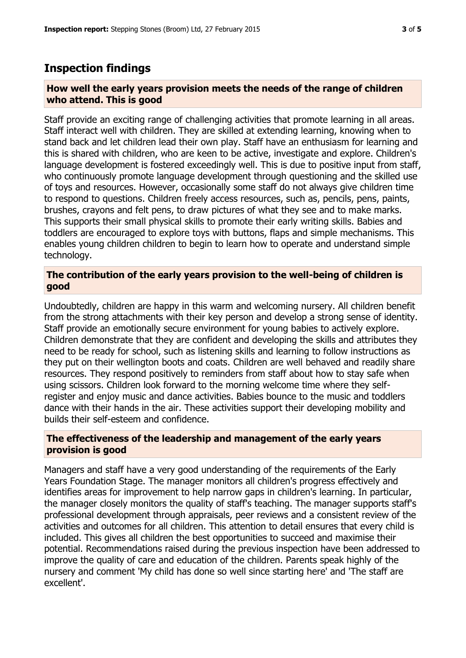### **Inspection findings**

#### **How well the early years provision meets the needs of the range of children who attend. This is good**

Staff provide an exciting range of challenging activities that promote learning in all areas. Staff interact well with children. They are skilled at extending learning, knowing when to stand back and let children lead their own play. Staff have an enthusiasm for learning and this is shared with children, who are keen to be active, investigate and explore. Children's language development is fostered exceedingly well. This is due to positive input from staff, who continuously promote language development through questioning and the skilled use of toys and resources. However, occasionally some staff do not always give children time to respond to questions. Children freely access resources, such as, pencils, pens, paints, brushes, crayons and felt pens, to draw pictures of what they see and to make marks. This supports their small physical skills to promote their early writing skills. Babies and toddlers are encouraged to explore toys with buttons, flaps and simple mechanisms. This enables young children children to begin to learn how to operate and understand simple technology.

#### **The contribution of the early years provision to the well-being of children is good**

Undoubtedly, children are happy in this warm and welcoming nursery. All children benefit from the strong attachments with their key person and develop a strong sense of identity. Staff provide an emotionally secure environment for young babies to actively explore. Children demonstrate that they are confident and developing the skills and attributes they need to be ready for school, such as listening skills and learning to follow instructions as they put on their wellington boots and coats. Children are well behaved and readily share resources. They respond positively to reminders from staff about how to stay safe when using scissors. Children look forward to the morning welcome time where they selfregister and enjoy music and dance activities. Babies bounce to the music and toddlers dance with their hands in the air. These activities support their developing mobility and builds their self-esteem and confidence.

#### **The effectiveness of the leadership and management of the early years provision is good**

Managers and staff have a very good understanding of the requirements of the Early Years Foundation Stage. The manager monitors all children's progress effectively and identifies areas for improvement to help narrow gaps in children's learning. In particular, the manager closely monitors the quality of staff's teaching. The manager supports staff's professional development through appraisals, peer reviews and a consistent review of the activities and outcomes for all children. This attention to detail ensures that every child is included. This gives all children the best opportunities to succeed and maximise their potential. Recommendations raised during the previous inspection have been addressed to improve the quality of care and education of the children. Parents speak highly of the nursery and comment 'My child has done so well since starting here' and 'The staff are excellent'.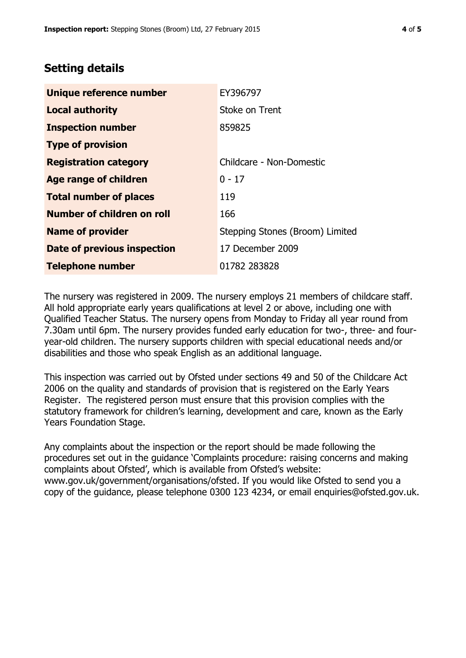## **Setting details**

| Unique reference number            | EY396797                        |  |
|------------------------------------|---------------------------------|--|
| <b>Local authority</b>             | Stoke on Trent                  |  |
| <b>Inspection number</b>           | 859825                          |  |
| <b>Type of provision</b>           |                                 |  |
| <b>Registration category</b>       | Childcare - Non-Domestic        |  |
| Age range of children              | $0 - 17$                        |  |
| <b>Total number of places</b>      | 119                             |  |
| Number of children on roll         | 166                             |  |
| <b>Name of provider</b>            | Stepping Stones (Broom) Limited |  |
| <b>Date of previous inspection</b> | 17 December 2009                |  |
| <b>Telephone number</b>            | 01782 283828                    |  |

The nursery was registered in 2009. The nursery employs 21 members of childcare staff. All hold appropriate early years qualifications at level 2 or above, including one with Qualified Teacher Status. The nursery opens from Monday to Friday all year round from 7.30am until 6pm. The nursery provides funded early education for two-, three- and fouryear-old children. The nursery supports children with special educational needs and/or disabilities and those who speak English as an additional language.

This inspection was carried out by Ofsted under sections 49 and 50 of the Childcare Act 2006 on the quality and standards of provision that is registered on the Early Years Register. The registered person must ensure that this provision complies with the statutory framework for children's learning, development and care, known as the Early Years Foundation Stage.

Any complaints about the inspection or the report should be made following the procedures set out in the guidance 'Complaints procedure: raising concerns and making complaints about Ofsted', which is available from Ofsted's website: www.gov.uk/government/organisations/ofsted. If you would like Ofsted to send you a copy of the guidance, please telephone 0300 123 4234, or email enquiries@ofsted.gov.uk.